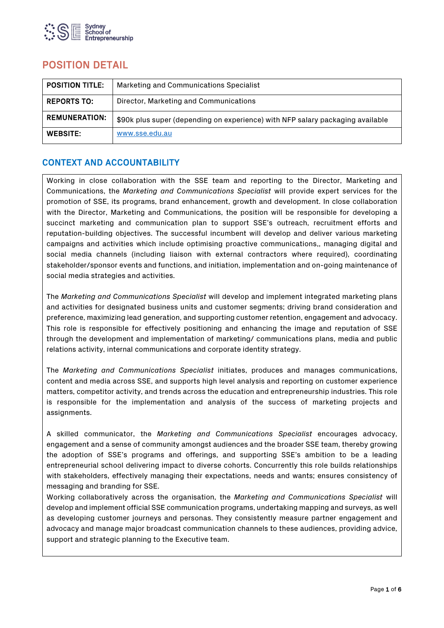

# POSITION DETAIL

| <b>POSITION TITLE.</b> | Marketing and Communications Specialist                                        |
|------------------------|--------------------------------------------------------------------------------|
| <b>REPORTS TO:</b>     | Director, Marketing and Communications                                         |
| <b>REMUNERATION:</b>   | \$90k plus super (depending on experience) with NFP salary packaging available |
| <b>WEBSITE:</b>        | www.sse.edu.au                                                                 |

## CONTEXT AND ACCOUNTABILITY

Working in close collaboration with the SSE team and reporting to the Director, Marketing and Communications, the *Marketing and Communications Specialist* will provide expert services for the promotion of SSE, its programs, brand enhancement, growth and development. In close collaboration with the Director, Marketing and Communications, the position will be responsible for developing a succinct marketing and communication plan to support SSE's outreach, recruitment efforts and reputation-building objectives. The successful incumbent will develop and deliver various marketing campaigns and activities which include optimising proactive communications,, managing digital and social media channels (including liaison with external contractors where required), coordinating stakeholder/sponsor events and functions, and initiation, implementation and on-going maintenance of social media strategies and activities.

The *Marketing and Communications Specialist* will develop and implement integrated marketing plans and activities for designated business units and customer segments; driving brand consideration and preference, maximizing lead generation, and supporting customer retention, engagement and advocacy. This role is responsible for effectively positioning and enhancing the image and reputation of SSE through the development and implementation of marketing/ communications plans, media and public relations activity, internal communications and corporate identity strategy.

The *Marketing and Communications Specialist* initiates, produces and manages communications, content and media across SSE, and supports high level analysis and reporting on customer experience matters, competitor activity, and trends across the education and entrepreneurship industries. This role is responsible for the implementation and analysis of the success of marketing projects and assignments.

A skilled communicator, the *Marketing and Communications Specialist* encourages advocacy, engagement and a sense of community amongst audiences and the broader SSE team, thereby growing the adoption of SSE's programs and offerings, and supporting SSE's ambition to be a leading entrepreneurial school delivering impact to diverse cohorts. Concurrently this role builds relationships with stakeholders, effectively managing their expectations, needs and wants; ensures consistency of messaging and branding for SSE.

Working collaboratively across the organisation, the *Marketing and Communications Specialist* will develop and implement official SSE communication programs, undertaking mapping and surveys, as well as developing customer journeys and personas. They consistently measure partner engagement and advocacy and manage major broadcast communication channels to these audiences, providing advice, support and strategic planning to the Executive team.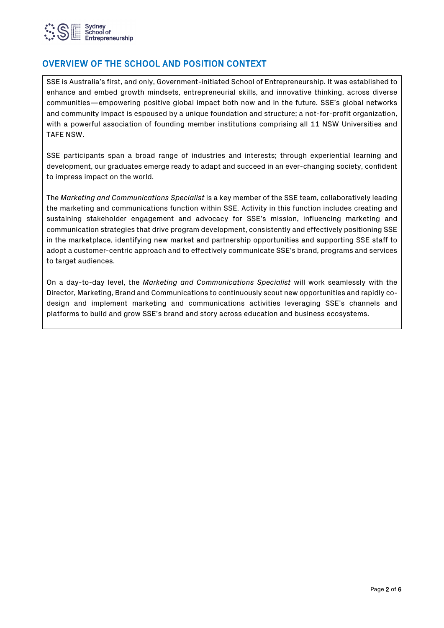

## OVERVIEW OF THE SCHOOL AND POSITION CONTEXT

SSE is Australia's first, and only, Government-initiated School of Entrepreneurship. It was established to enhance and embed growth mindsets, entrepreneurial skills, and innovative thinking, across diverse communities—empowering positive global impact both now and in the future. SSE's global networks and community impact is espoused by a unique foundation and structure; a not-for-profit organization, with a powerful association of founding member institutions comprising all 11 NSW Universities and TAFE NSW.

SSE participants span a broad range of industries and interests; through experiential learning and development, our graduates emerge ready to adapt and succeed in an ever-changing society, confident to impress impact on the world.

The *Marketing and Communications Specialist* is a key member of the SSE team, collaboratively leading the marketing and communications function within SSE. Activity in this function includes creating and sustaining stakeholder engagement and advocacy for SSE's mission, influencing marketing and communication strategies that drive program development, consistently and effectively positioning SSE in the marketplace, identifying new market and partnership opportunities and supporting SSE staff to adopt a customer-centric approach and to effectively communicate SSE's brand, programs and services to target audiences.

On a day-to-day level, the *Marketing and Communications Specialist* will work seamlessly with the Director, Marketing, Brand and Communications to continuously scout new opportunities and rapidly codesign and implement marketing and communications activities leveraging SSE's channels and platforms to build and grow SSE's brand and story across education and business ecosystems.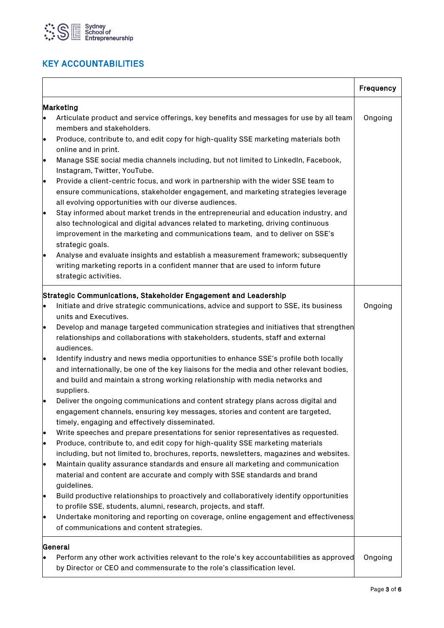

# KEY ACCOUNTABILITIES

|                                                                                                                                                                                                                                                                                                                                                                                                                                                                                                                                                                                                                                                                                                                                                                                                                                                                                                                                                                                                                                                                                                                                                                                                                                                                                                                                                                                                                                                                                                                                                                                                                                                                               | Frequency |
|-------------------------------------------------------------------------------------------------------------------------------------------------------------------------------------------------------------------------------------------------------------------------------------------------------------------------------------------------------------------------------------------------------------------------------------------------------------------------------------------------------------------------------------------------------------------------------------------------------------------------------------------------------------------------------------------------------------------------------------------------------------------------------------------------------------------------------------------------------------------------------------------------------------------------------------------------------------------------------------------------------------------------------------------------------------------------------------------------------------------------------------------------------------------------------------------------------------------------------------------------------------------------------------------------------------------------------------------------------------------------------------------------------------------------------------------------------------------------------------------------------------------------------------------------------------------------------------------------------------------------------------------------------------------------------|-----------|
| Marketing<br>Articulate product and service offerings, key benefits and messages for use by all team<br>le.<br>members and stakeholders.<br>Produce, contribute to, and edit copy for high-quality SSE marketing materials both<br>lo<br>online and in print.<br>Manage SSE social media channels including, but not limited to LinkedIn, Facebook,<br>$\bullet$<br>Instagram, Twitter, YouTube.<br>Provide a client-centric focus, and work in partnership with the wider SSE team to<br>le.<br>ensure communications, stakeholder engagement, and marketing strategies leverage<br>all evolving opportunities with our diverse audiences.<br>Stay informed about market trends in the entrepreneurial and education industry, and<br>le.<br>also technological and digital advances related to marketing, driving continuous<br>improvement in the marketing and communications team, and to deliver on SSE's<br>strategic goals.<br>Analyse and evaluate insights and establish a measurement framework; subsequently<br>lo                                                                                                                                                                                                                                                                                                                                                                                                                                                                                                                                                                                                                                                | Ongoing   |
| writing marketing reports in a confident manner that are used to inform future<br>strategic activities.                                                                                                                                                                                                                                                                                                                                                                                                                                                                                                                                                                                                                                                                                                                                                                                                                                                                                                                                                                                                                                                                                                                                                                                                                                                                                                                                                                                                                                                                                                                                                                       |           |
| Strategic Communications, Stakeholder Engagement and Leadership<br>Initiate and drive strategic communications, advice and support to SSE, its business<br>l.<br>units and Executives.<br>Develop and manage targeted communication strategies and initiatives that strengthen<br>le<br>relationships and collaborations with stakeholders, students, staff and external<br>audiences.<br>Identify industry and news media opportunities to enhance SSE's profile both locally<br>le<br>and internationally, be one of the key liaisons for the media and other relevant bodies,<br>and build and maintain a strong working relationship with media networks and<br>suppliers.<br>Deliver the ongoing communications and content strategy plans across digital and<br>engagement channels, ensuring key messages, stories and content are targeted,<br>timely, engaging and effectively disseminated.<br>Write speeches and prepare presentations for senior representatives as requested.<br>Produce, contribute to, and edit copy for high-quality SSE marketing materials<br>lo<br>including, but not limited to, brochures, reports, newsletters, magazines and websites.<br>Maintain quality assurance standards and ensure all marketing and communication<br>$\bullet$<br>material and content are accurate and comply with SSE standards and brand<br>guidelines.<br>Build productive relationships to proactively and collaboratively identify opportunities<br>to profile SSE, students, alumni, research, projects, and staff.<br>Undertake monitoring and reporting on coverage, online engagement and effectiveness<br>of communications and content strategies. | Ongoing   |
| General<br>Perform any other work activities relevant to the role's key accountabilities as approved<br>by Director or CEO and commensurate to the role's classification level.                                                                                                                                                                                                                                                                                                                                                                                                                                                                                                                                                                                                                                                                                                                                                                                                                                                                                                                                                                                                                                                                                                                                                                                                                                                                                                                                                                                                                                                                                               | Ongoing   |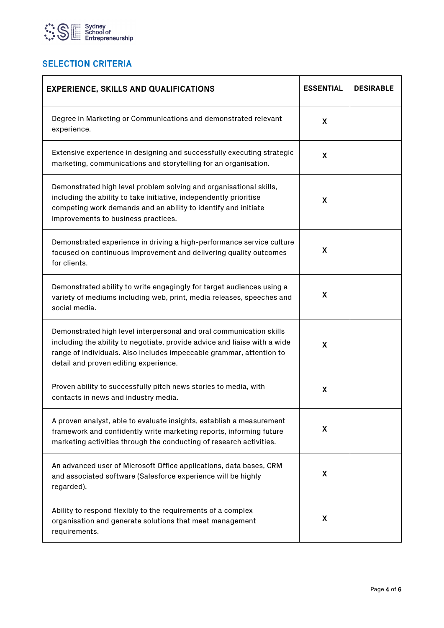

# **SELECTION CRITERIA**

| <b>EXPERIENCE, SKILLS AND QUALIFICATIONS</b>                                                                                                                                                                                                                      | <b>ESSENTIAL</b> | <b>DESIRABLE</b> |
|-------------------------------------------------------------------------------------------------------------------------------------------------------------------------------------------------------------------------------------------------------------------|------------------|------------------|
| Degree in Marketing or Communications and demonstrated relevant<br>experience.                                                                                                                                                                                    | X                |                  |
| Extensive experience in designing and successfully executing strategic<br>marketing, communications and storytelling for an organisation.                                                                                                                         | X                |                  |
| Demonstrated high level problem solving and organisational skills,<br>including the ability to take initiative, independently prioritise<br>competing work demands and an ability to identify and initiate<br>improvements to business practices.                 | X                |                  |
| Demonstrated experience in driving a high-performance service culture<br>focused on continuous improvement and delivering quality outcomes<br>for clients.                                                                                                        | X                |                  |
| Demonstrated ability to write engagingly for target audiences using a<br>variety of mediums including web, print, media releases, speeches and<br>social media.                                                                                                   | X.               |                  |
| Demonstrated high level interpersonal and oral communication skills<br>including the ability to negotiate, provide advice and liaise with a wide<br>range of individuals. Also includes impeccable grammar, attention to<br>detail and proven editing experience. | X                |                  |
| Proven ability to successfully pitch news stories to media, with<br>contacts in news and industry media.                                                                                                                                                          | X                |                  |
| A proven analyst, able to evaluate insights, establish a measurement<br>framework and confidently write marketing reports, informing future<br>marketing activities through the conducting of research activities.                                                | X                |                  |
| An advanced user of Microsoft Office applications, data bases, CRM<br>and associated software (Salesforce experience will be highly<br>regarded).                                                                                                                 | X                |                  |
| Ability to respond flexibly to the requirements of a complex<br>organisation and generate solutions that meet management<br>requirements.                                                                                                                         | X                |                  |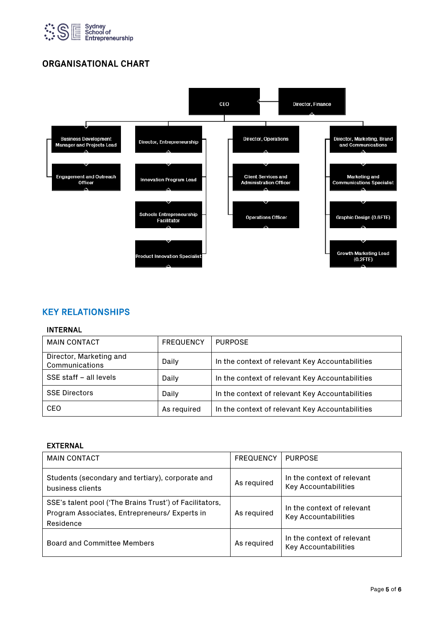

## ORGANISATIONAL CHART



## KEY RELATIONSHIPS

#### INTERNAL

| <b>MAIN CONTACT</b>                       | <b>FREQUENCY</b> | <b>PURPOSE</b>                                  |
|-------------------------------------------|------------------|-------------------------------------------------|
| Director, Marketing and<br>Communications | Daily            | In the context of relevant Key Accountabilities |
| SSE staff - all levels                    | Daily            | In the context of relevant Key Accountabilities |
| <b>SSE Directors</b>                      | Daily            | In the context of relevant Key Accountabilities |
| CEO                                       | As required      | In the context of relevant Key Accountabilities |

### EXTERNAL

| <b>MAIN CONTACT</b>                                                                                                   | <b>FREQUENCY</b> | <b>PURPOSE</b>                                            |
|-----------------------------------------------------------------------------------------------------------------------|------------------|-----------------------------------------------------------|
| Students (secondary and tertiary), corporate and<br>business clients                                                  | As required      | In the context of relevant<br>Key Accountabilities        |
| SSE's talent pool ('The Brains Trust') of Facilitators,<br>Program Associates, Entrepreneurs/ Experts in<br>Residence | As required      | In the context of relevant<br><b>Key Accountabilities</b> |
| Board and Committee Members                                                                                           | As required      | In the context of relevant<br>Key Accountabilities        |